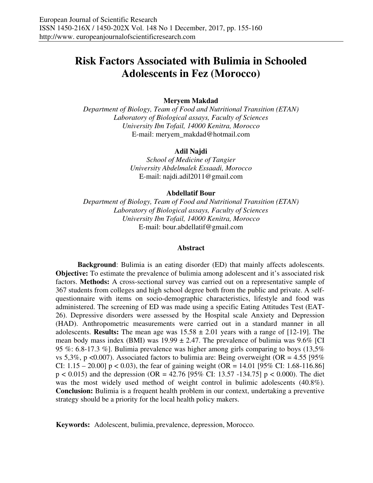# **Risk Factors Associated with Bulimia in Schooled Adolescents in Fez (Morocco)**

### **Meryem Makdad**

*Department of Biology, Team of Food and Nutritional Transition (ETAN) Laboratory of Biological assays, Faculty of Sciences University Ibn Tofail, 14000 Kenitra, Morocco*  E-mail: meryem\_makdad@hotmail.com

#### **Adil Najdi**

*School of Medicine of Tangier University Abdelmalek Essaadi, Morocco*  E-mail: najdi.adil2011@gmail.com

#### **Abdellatif Bour**

*Department of Biology, Team of Food and Nutritional Transition (ETAN) Laboratory of Biological assays, Faculty of Sciences University Ibn Tofail, 14000 Kenitra, Morocco*  E-mail: bour.abdellatif@gmail.com

#### **Abstract**

**Background**: Bulimia is an eating disorder (ED) that mainly affects adolescents. **Objective:** To estimate the prevalence of bulimia among adolescent and it's associated risk factors. **Methods:** A cross-sectional survey was carried out on a representative sample of 367 students from colleges and high school degree both from the public and private. A selfquestionnaire with items on socio-demographic characteristics, lifestyle and food was administered. The screening of ED was made using a specific Eating Attitudes Test (EAT-26). Depressive disorders were assessed by the Hospital scale Anxiety and Depression (HAD). Anthropometric measurements were carried out in a standard manner in all adolescents. **Results:** The mean age was  $15.58 \pm 2.01$  years with a range of [12-19]. The mean body mass index (BMI) was  $19.99 \pm 2.47$ . The prevalence of bulimia was  $9.6\%$  [CI 95 %: 6.8-17.3 %]. Bulimia prevalence was higher among girls comparing to boys (13,5% vs 5,3%, p <0.007). Associated factors to bulimia are: Being overweight (OR =  $4.55$  [95% CI:  $1.15 - 20.00$ ]  $p < 0.03$ ), the fear of gaining weight (OR = 14.01 [95% CI: 1.68-116.86]  $p < 0.015$ ) and the depression (OR = 42.76 [95% CI: 13.57 -134.75]  $p < 0.000$ ). The diet was the most widely used method of weight control in bulimic adolescents (40.8%). **Conclusion:** Bulimia is a frequent health problem in our context, undertaking a preventive strategy should be a priority for the local health policy makers.

**Keywords:** Adolescent, bulimia, prevalence, depression, Morocco.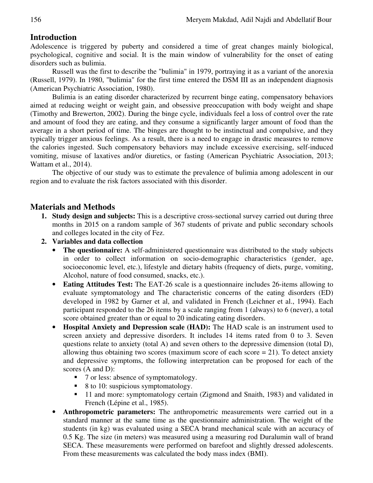# **Introduction**

Adolescence is triggered by puberty and considered a time of great changes mainly biological, psychological, cognitive and social. It is the main window of vulnerability for the onset of eating disorders such as bulimia.

Russell was the first to describe the "bulimia" in 1979, portraying it as a variant of the anorexia (Russell, 1979). In 1980, "bulimia" for the first time entered the DSM III as an independent diagnosis (American Psychiatric Association, 1980).

Bulimia is an eating disorder characterized by recurrent binge eating, compensatory behaviors aimed at reducing weight or weight gain, and obsessive preoccupation with body weight and shape (Timothy and Brewerton, 2002). During the binge cycle, individuals feel a loss of control over the rate and amount of food they are eating, and they consume a significantly larger amount of food than the average in a short period of time. The binges are thought to be instinctual and compulsive, and they typically trigger anxious feelings. As a result, there is a need to engage in drastic measures to remove the calories ingested. Such compensatory behaviors may include excessive exercising, self-induced vomiting, misuse of laxatives and/or diuretics, or fasting (American Psychiatric Association, 2013; Wattam et al., 2014).

The objective of our study was to estimate the prevalence of bulimia among adolescent in our region and to evaluate the risk factors associated with this disorder.

# **Materials and Methods**

- **1. Study design and subjects:** This is a descriptive cross-sectional survey carried out during three months in 2015 on a random sample of 367 students of private and public secondary schools and colleges located in the city of Fez.
- **2. Variables and data collection** 
	- **The questionnaire:** A self-administered questionnaire was distributed to the study subjects in order to collect information on socio-demographic characteristics (gender, age, socioeconomic level, etc.), lifestyle and dietary habits (frequency of diets, purge, vomiting, Alcohol, nature of food consumed, snacks, etc.).
	- **Eating Attitudes Test:** The EAT-26 scale is a questionnaire includes 26-items allowing to evaluate symptomatology and The characteristic concerns of the eating disorders (ED) developed in 1982 by Garner et al, and validated in French (Leichner et al., 1994). Each participant responded to the 26 items by a scale ranging from 1 (always) to 6 (never), a total score obtained greater than or equal to 20 indicating eating disorders.
	- **Hospital Anxiety and Depression scale (HAD):** The HAD scale is an instrument used to screen anxiety and depressive disorders. It includes 14 items rated from 0 to 3. Seven questions relate to anxiety (total A) and seven others to the depressive dimension (total D), allowing thus obtaining two scores (maximum score of each score  $= 21$ ). To detect anxiety and depressive symptoms, the following interpretation can be proposed for each of the scores (A and D):
		- 7 or less: absence of symptomatology.
		- $\blacksquare$  8 to 10: suspicious symptomatology.
		- <sup>11</sup> and more: symptomatology certain (Zigmond and Snaith, 1983) and validated in French (Lépine et al., 1985).
	- **Anthropometric parameters:** The anthropometric measurements were carried out in a standard manner at the same time as the questionnaire administration. The weight of the students (in kg) was evaluated using a SECA brand mechanical scale with an accuracy of 0.5 Kg. The size (in meters) was measured using a measuring rod Duralumin wall of brand SECA. These measurements were performed on barefoot and slightly dressed adolescents. From these measurements was calculated the body mass index (BMI).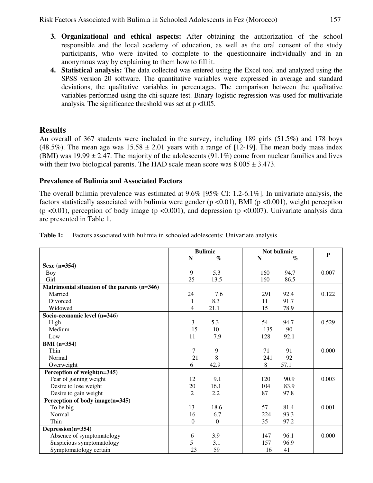- **3. Organizational and ethical aspects:** After obtaining the authorization of the school responsible and the local academy of education, as well as the oral consent of the study participants, who were invited to complete to the questionnaire individually and in an anonymous way by explaining to them how to fill it.
- **4. Statistical analysis:** The data collected was entered using the Excel tool and analyzed using the SPSS version 20 software. The quantitative variables were expressed in average and standard deviations, the qualitative variables in percentages. The comparison between the qualitative variables performed using the chi-square test. Binary logistic regression was used for multivariate analysis. The significance threshold was set at  $p < 0.05$ .

# **Results**

An overall of 367 students were included in the survey, including 189 girls (51.5%) and 178 boys (48.5%). The mean age was  $15.58 \pm 2.01$  years with a range of [12-19]. The mean body mass index (BMI) was  $19.99 \pm 2.47$ . The majority of the adolescents (91.1%) come from nuclear families and lives with their two biological parents. The HAD scale mean score was  $8.005 \pm 3.473$ .

## **Prevalence of Bulimia and Associated Factors**

The overall bulimia prevalence was estimated at 9.6% [95% CI: 1.2-6.1%]. In univariate analysis, the factors statistically associated with bulimia were gender ( $p \le 0.01$ ), BMI ( $p \le 0.001$ ), weight perception (p <0.01), perception of body image (p <0.001), and depression (p <0.007). Univariate analysis data are presented in Table 1.

|                                              | <b>Bulimic</b> |                  | Not bulimic |      |           |
|----------------------------------------------|----------------|------------------|-------------|------|-----------|
|                                              | $\mathbf N$    | $\%$             | N           | $\%$ | ${\bf P}$ |
| Sexe $(n=354)$                               |                |                  |             |      |           |
| <b>Boy</b>                                   | 9              | 5.3              | 160         | 94.7 | 0.007     |
| Girl                                         | 25             | 13.5             | 160         | 86.5 |           |
| Matrimonial situation of the parents (n=346) |                |                  |             |      |           |
| Married                                      | 24             | 7.6              | 291         | 92.4 | 0.122     |
| Divorced                                     | 1              | 8.3              | 11          | 91.7 |           |
| Widowed                                      | 4              | 21.1             | 15          | 78.9 |           |
| Socio-economic level (n=346)                 |                |                  |             |      |           |
| High                                         | 3              | 5.3              | 54          | 94.7 | 0.529     |
| Medium                                       | 15             | 10               | 135         | 90   |           |
| Low                                          | 11             | 7.9              | 128         | 92.1 |           |
| $BMI (n=354)$                                |                |                  |             |      |           |
| Thin                                         | 7              | 9                | 71          | 91   | 0.000     |
| Normal                                       | 21             | 8                | 241         | 92   |           |
| Overweight                                   | 6              | 42.9             | 8           | 57.1 |           |
| Perception of weight(n=345)                  |                |                  |             |      |           |
| Fear of gaining weight                       | 12             | 9.1              | 120         | 90.9 | 0.003     |
| Desire to lose weight                        | 20             | 16.1             | 104         | 83.9 |           |
| Desire to gain weight                        | $\mathfrak{D}$ | 2.2              | 87          | 97.8 |           |
| Perception of body image(n=345)              |                |                  |             |      |           |
| To be big                                    | 13             | 18.6             | 57          | 81.4 | 0.001     |
| Normal                                       | 16             | 6.7              | 224         | 93.3 |           |
| Thin                                         | $\overline{0}$ | $\boldsymbol{0}$ | 35          | 97.2 |           |
| Depression(n=354)                            |                |                  |             |      |           |
| Absence of symptomatology                    | 6              | 3.9              | 147         | 96.1 | 0.000     |
| Suspicious symptomatology                    | 5              | 3.1              | 157         | 96.9 |           |
| Symptomatology certain                       | 23             | 59               | 16          | 41   |           |

**Table 1:** Factors associated with bulimia in schooled adolescents: Univariate analysis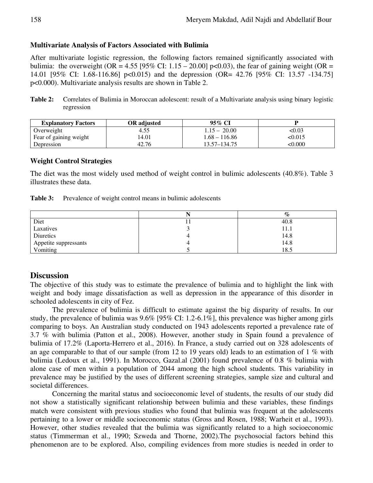### **Multivariate Analysis of Factors Associated with Bulimia**

After multivariate logistic regression, the following factors remained significantly associated with bulimia: the overweight (OR = 4.55 [95% CI: 1.15 – 20.00] p<0.03), the fear of gaining weight (OR = 14.01 [95% CI: 1.68-116.86] p<0.015) and the depression (OR= 42.76 [95% CI: 13.57 -134.75] p<0.000). Multivariate analysis results are shown in Table 2.

**Table 2:** Correlates of Bulimia in Moroccan adolescent: result of a Multivariate analysis using binary logistic regression

| <b>Explanatory Factors</b> | OR adjusted | 95% CI          |        |
|----------------------------|-------------|-----------------|--------|
| Overweight                 | 4.55        | $1.15 - 20.00$  | <0.03  |
| Fear of gaining weight     | 14.01       | $1.68 - 116.86$ | <0.015 |
| Depression                 | 42.76       | 13.57–134.75    | <0.000 |

### **Weight Control Strategies**

The diet was the most widely used method of weight control in bulimic adolescents (40.8%). Table 3 illustrates these data.

| Table 3:<br>Prevalence of weight control means in bulimic adolescents |  |
|-----------------------------------------------------------------------|--|
|-----------------------------------------------------------------------|--|

|                       | $\%$ |
|-----------------------|------|
| Diet                  | 40.8 |
| Laxatives             | 11.1 |
| Diuretics             | 14.8 |
| Appetite suppressants | 14.8 |
| Vomiting              | 18.5 |

### **Discussion**

The objective of this study was to estimate the prevalence of bulimia and to highlight the link with weight and body image dissatisfaction as well as depression in the appearance of this disorder in schooled adolescents in city of Fez.

The prevalence of bulimia is difficult to estimate against the big disparity of results. In our study, the prevalence of bulimia was 9.6% [95% CI: 1.2-6.1%], this prevalence was higher among girls comparing to boys. An Australian study conducted on 1943 adolescents reported a prevalence rate of 3.7 % with bulimia (Patton et al., 2008). However, another study in Spain found a prevalence of bulimia of 17.2% (Laporta-Herrero et al., 2016). In France, a study carried out on 328 adolescents of an age comparable to that of our sample (from 12 to 19 years old) leads to an estimation of 1 % with bulimia (Ledoux et al., 1991). In Morocco, Gazal.al (2001) found prevalence of 0.8 % bulimia with alone case of men within a population of 2044 among the high school students. This variability in prevalence may be justified by the uses of different screening strategies, sample size and cultural and societal differences.

Concerning the marital status and socioeconomic level of students, the results of our study did not show a statistically significant relationship between bulimia and these variables, these findings match were consistent with previous studies who found that bulimia was frequent at the adolescents pertaining to a lower or middle socioeconomic status (Gross and Rosen, 1988; Warheit et al., 1993). However, other studies revealed that the bulimia was significantly related to a high socioeconomic status (Timmerman et al., 1990; Szweda and Thorne, 2002).The psychosocial factors behind this phenomenon are to be explored. Also, compiling evidences from more studies is needed in order to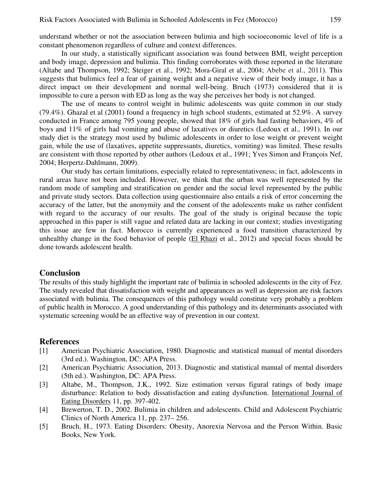understand whether or not the association between bulimia and high socioeconomic level of life is a constant phenomenon regardless of culture and context differences.

In our study, a statistically significant association was found between BMI, weight perception and body image, depression and bulimia. This finding corroborates with those reported in the literature (Altabe and Thompson, 1992; Steiger et al., 1992; Mora-Giral et al., 2004; Abebe et al., 2011). This suggests that bulimics feel a fear of gaining weight and a negative view of their body image, it has a direct impact on their development and normal well-being. Bruch (1973) considered that it is impossible to cure a person with ED as long as the way she perceives her body is not changed.

The use of means to control weight in bulimic adolescents was quite common in our study (79.4%). Ghazal et al (2001) found a frequency in high school students, estimated at 52.9%. A survey conducted in France among 795 young people, showed that 18% of girls had fasting behaviors, 4% of boys and 11% of girls had vomiting and abuse of laxatives or diuretics (Ledoux et al., 1991). In our study diet is the strategy most used by bulimic adolescents in order to lose weight or prevent weight gain, while the use of (laxatives, appetite suppressants, diuretics, vomiting) was limited. These results are consistent with those reported by other authors (Ledoux et al., 1991; Yves Simon and François Nef, 2004; Herpertz-Dahlmann, 2009).

Our study has certain limitations, especially related to representativeness; in fact, adolescents in rural areas have not been included. However, we think that the urban was well represented by the random mode of sampling and stratification on gender and the social level represented by the public and private study sectors. Data collection using questionnaire also entails a risk of error concerning the accuracy of the latter, but the anonymity and the consent of the adolescents make us rather confident with regard to the accuracy of our results. The goal of the study is original because the topic approached in this paper is still vague and related data are lacking in our context; studies investigating this issue are few in fact. Morocco is currently experienced a food transition characterized by unhealthy change in the food behavior of people (El Rhazi et al., 2012) and special focus should be done towards adolescent health.

### **Conclusion**

The results of this study highlight the important rate of bulimia in schooled adolescents in the city of Fez. The study revealed that dissatisfaction with weight and appearances as well as depression are risk factors associated with bulimia. The consequences of this pathology would constitute very probably a problem of public health in Morocco. A good understanding of this pathology and its determinants associated with systematic screening would be an effective way of prevention in our context.

## **References**

- [1] American Psychiatric Association, 1980. Diagnostic and statistical manual of mental disorders (3rd ed.). Washington, DC: APA Press.
- [2] American Psychiatric Association, 2013. Diagnostic and statistical manual of mental disorders (5th ed.). Washington, DC: APA Press.
- [3] Altabe, M., Thompson, J.K., 1992. Size estimation versus figural ratings of body image disturbance: Relation to body dissatisfaction and eating dysfunction. International Journal of Eating Disorders 11, pp. 397-402.
- [4] Brewerton, T. D., 2002. Bulimia in children and adolescents. Child and Adolescent Psychiatric Clinics of North America 11, pp. 237– 256.
- [5] Bruch, H., 1973. Eating Disorders: Obesity, Anorexia Nervosa and the Person Within. Basic Books, New York.